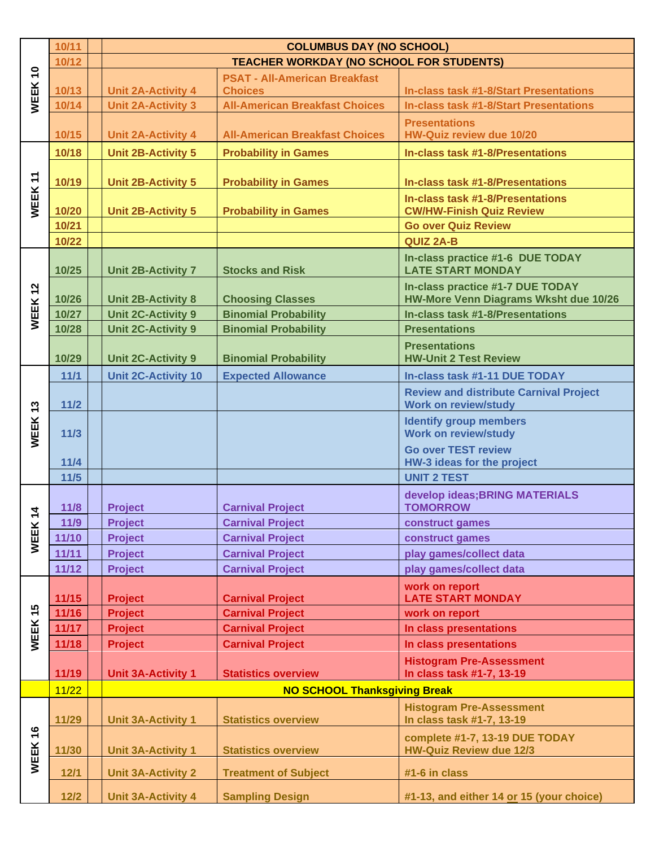|                                         | 10/11  | <b>COLUMBUS DAY (NO SCHOOL)</b>                 |                                       |                                                                              |  |  |
|-----------------------------------------|--------|-------------------------------------------------|---------------------------------------|------------------------------------------------------------------------------|--|--|
| $\overline{\phantom{0}}$<br><b>WEEK</b> | 10/12  | <b>TEACHER WORKDAY (NO SCHOOL FOR STUDENTS)</b> |                                       |                                                                              |  |  |
|                                         |        |                                                 | <b>PSAT - All-American Breakfast</b>  |                                                                              |  |  |
|                                         | 10/13  | <b>Unit 2A-Activity 4</b>                       | <b>Choices</b>                        | <b>In-class task #1-8/Start Presentations</b>                                |  |  |
|                                         | 10/14  | <b>Unit 2A-Activity 3</b>                       | <b>All-American Breakfast Choices</b> | <b>In-class task #1-8/Start Presentations</b>                                |  |  |
|                                         |        |                                                 |                                       | <b>Presentations</b>                                                         |  |  |
|                                         | 10/15  | <b>Unit 2A-Activity 4</b>                       | <b>All-American Breakfast Choices</b> | <b>HW-Quiz review due 10/20</b>                                              |  |  |
| WEEK 11                                 | 10/18  | <b>Unit 2B-Activity 5</b>                       | <b>Probability in Games</b>           | <b>In-class task #1-8/Presentations</b>                                      |  |  |
|                                         |        |                                                 |                                       |                                                                              |  |  |
|                                         | 10/19  | <b>Unit 2B-Activity 5</b>                       | <b>Probability in Games</b>           | In-class task #1-8/Presentations                                             |  |  |
|                                         |        |                                                 |                                       | In-class task #1-8/Presentations                                             |  |  |
|                                         | 10/20  | <b>Unit 2B-Activity 5</b>                       | <b>Probability in Games</b>           | <b>CW/HW-Finish Quiz Review</b>                                              |  |  |
|                                         | 10/21  |                                                 |                                       | <b>Go over Quiz Review</b>                                                   |  |  |
|                                         | 10/22  |                                                 |                                       | <b>QUIZ 2A-B</b>                                                             |  |  |
|                                         | 10/25  | <b>Unit 2B-Activity 7</b>                       | <b>Stocks and Risk</b>                | In-class practice #1-6 DUE TODAY<br><b>LATE START MONDAY</b>                 |  |  |
|                                         |        |                                                 |                                       | In-class practice #1-7 DUE TODAY                                             |  |  |
|                                         | 10/26  | <b>Unit 2B-Activity 8</b>                       | <b>Choosing Classes</b>               | HW-More Venn Diagrams Wksht due 10/26                                        |  |  |
| WEEK 12                                 | 10/27  | <b>Unit 2C-Activity 9</b>                       | <b>Binomial Probability</b>           | In-class task #1-8/Presentations                                             |  |  |
|                                         | 10/28  | <b>Unit 2C-Activity 9</b>                       | <b>Binomial Probability</b>           | <b>Presentations</b>                                                         |  |  |
|                                         | 10/29  | <b>Unit 2C-Activity 9</b>                       | <b>Binomial Probability</b>           | <b>Presentations</b><br><b>HW-Unit 2 Test Review</b>                         |  |  |
| WEEK13                                  | 11/1   | <b>Unit 2C-Activity 10</b>                      | <b>Expected Allowance</b>             | In-class task #1-11 DUE TODAY                                                |  |  |
|                                         | $11/2$ |                                                 |                                       | <b>Review and distribute Carnival Project</b><br><b>Work on review/study</b> |  |  |
|                                         | $11/3$ |                                                 |                                       | <b>Identify group members</b><br><b>Work on review/study</b>                 |  |  |
|                                         |        |                                                 |                                       | <b>Go over TEST review</b>                                                   |  |  |
|                                         | $11/4$ |                                                 |                                       | HW-3 ideas for the project                                                   |  |  |
|                                         | $11/5$ |                                                 |                                       | <b>UNIT 2 TEST</b>                                                           |  |  |
|                                         | 11/8   |                                                 | <b>Carnival Project</b>               | develop ideas; BRING MATERIALS<br><b>TOMORROW</b>                            |  |  |
| $\frac{4}{7}$<br>WEEK                   | 11/9   | <b>Project</b>                                  | <b>Carnival Project</b>               |                                                                              |  |  |
|                                         | 11/10  | <b>Project</b><br><b>Project</b>                | <b>Carnival Project</b>               | construct games<br>construct games                                           |  |  |
|                                         | 11/11  | <b>Project</b>                                  | <b>Carnival Project</b>               | play games/collect data                                                      |  |  |
|                                         | 11/12  | <b>Project</b>                                  | <b>Carnival Project</b>               | play games/collect data                                                      |  |  |
|                                         |        |                                                 |                                       |                                                                              |  |  |
| 45<br>WEEK                              | 11/15  | <b>Project</b>                                  | <b>Carnival Project</b>               | work on report<br><b>LATE START MONDAY</b>                                   |  |  |
|                                         | 11/16  | <b>Project</b>                                  | <b>Carnival Project</b>               | work on report                                                               |  |  |
|                                         | 11/17  | <b>Project</b>                                  | <b>Carnival Project</b>               | In class presentations                                                       |  |  |
|                                         | 11/18  | <b>Project</b>                                  | <b>Carnival Project</b>               | In class presentations                                                       |  |  |
|                                         |        |                                                 |                                       | <b>Histogram Pre-Assessment</b>                                              |  |  |
|                                         | 11/19  | <b>Unit 3A-Activity 1</b>                       | <b>Statistics overview</b>            | In class task #1-7, 13-19                                                    |  |  |
|                                         | 11/22  | <b>NO SCHOOL Thanksgiving Break</b>             |                                       |                                                                              |  |  |
| WEEK 16                                 |        |                                                 |                                       | <b>Histogram Pre-Assessment</b>                                              |  |  |
|                                         | 11/29  | <b>Unit 3A-Activity 1</b>                       | <b>Statistics overview</b>            | In class task #1-7, 13-19                                                    |  |  |
|                                         | 11/30  | <b>Unit 3A-Activity 1</b>                       | <b>Statistics overview</b>            | complete #1-7, 13-19 DUE TODAY<br><b>HW-Quiz Review due 12/3</b>             |  |  |
|                                         | $12/1$ | <b>Unit 3A-Activity 2</b>                       | <b>Treatment of Subject</b>           | #1-6 in class                                                                |  |  |
|                                         | $12/2$ | <b>Unit 3A-Activity 4</b>                       | <b>Sampling Design</b>                | #1-13, and either 14 or 15 (your choice)                                     |  |  |